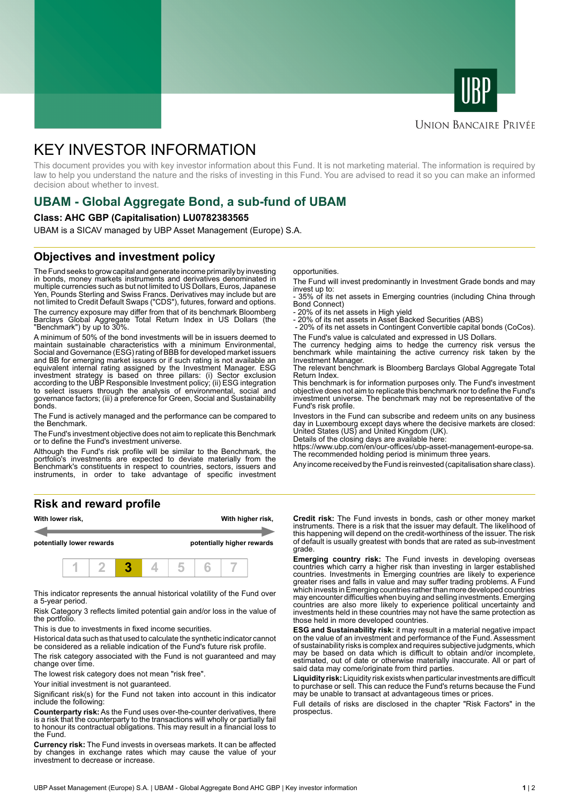



## **UNION BANCAIRE PRIVÉE**

# KEY INVESTOR INFORMATION

This document provides you with key investor information about this Fund. It is not marketing material. The information is required by law to help you understand the nature and the risks of investing in this Fund. You are advised to read it so you can make an informed decision about whether to invest.

# **UBAM - Global Aggregate Bond, a sub-fund of UBAM**

#### **Class: AHC GBP (Capitalisation) LU0782383565**

UBAM is a SICAV managed by UBP Asset Management (Europe) S.A.

# **Objectives and investment policy**

The Fund seeks to grow capital and generate income primarily by investing in bonds, money markets instruments and derivatives denominated in multiple currencies such as but not limited to US Dollars, Euros, Japanese Yen, Pounds Sterling and Swiss Francs. Derivatives may include but are not limited to Credit Default Swaps ("CDS"), futures, forward and options.

The currency exposure may differ from that of its benchmark Bloomberg Barclays Global Aggregate Total Return Index in US Dollars (the "Benchmark") by up to 30%.

A minimum of 50% of the bond investments will be in issuers deemed to maintain sustainable characteristics with a minimum Environmental, Social and Governance (ESG) rating of BBB for developed market issuers and BB for emerging market issuers or if such rating is not available an equivalent internal rating assigned by the Investment Manager. ESG investment strategy is based on three pillars: (i) Sector exclusion according to the UBP Responsible Investment policy; (ii) ESG integration to select issuers through the analysis of environmental, social and governance factors; (iii) a preference for Green, Social and Sustainability bonds.

The Fund is actively managed and the performance can be compared to the Benchmark.

The Fund's investment objective does not aim to replicate this Benchmark or to define the Fund's investment universe.

Although the Fund's risk profile will be similar to the Benchmark, the portfolio's investments are expected to deviate materially from the Benchmark's constituents in respect to countries, sectors, issuers and instruments, in order to take advantage of specific investment

### **Risk and reward profile**



This indicator represents the annual historical volatility of the Fund over a 5-year period.

Risk Category 3 reflects limited potential gain and/or loss in the value of the portfolio.

This is due to investments in fixed income securities.

Historical data such as that used to calculate the synthetic indicator cannot be considered as a reliable indication of the Fund's future risk profile.

The risk category associated with the Fund is not guaranteed and may change over time.

The lowest risk category does not mean "risk free".

Your initial investment is not quaranteed.

Significant risk(s) for the Fund not taken into account in this indicator include the following:

**Counterparty risk:** As the Fund uses over-the-counter derivatives, there is a risk that the counterparty to the transactions will wholly or partially fail to honour its contractual obligations. This may result in a financial loss to the Fund.

**Currency risk:** The Fund invests in overseas markets. It can be affected by changes in exchange rates which may cause the value of your investment to decrease or increase.

opportunities.

The Fund will invest predominantly in Investment Grade bonds and may invest up to:

- 35% of its net assets in Emerging countries (including China through Bond Connect)

- 20% of its net assets in High yield

- 20% of its net assets in Asset Backed Securities (ABS)

 - 20% of its net assets in Contingent Convertible capital bonds (CoCos). The Fund's value is calculated and expressed in US Dollars.

The currency hedging aims to hedge the currency risk versus the benchmark while maintaining the active currency risk taken by the Investment Manager.

The relevant benchmark is Bloomberg Barclays Global Aggregate Total Return Index.

This benchmark is for information purposes only. The Fund's investment objective does not aim to replicate this benchmark nor to define the Fund's investment universe. The benchmark may not be representative of the Fund's risk profile.

Investors in the Fund can subscribe and redeem units on any business day in Luxembourg except days where the decisive markets are closed: United States (US) and United Kingdom (UK).

Details of the closing days are available here:

https://www.ubp.com/en/our-offices/ubp-asset-management-europe-sa. The recommended holding period is minimum three years.

Any income received by the Fund is reinvested (capitalisation share class).

**Credit risk:** The Fund invests in bonds, cash or other money market instruments. There is a risk that the issuer may default. The likelihood of this happening will depend on the credit-worthiness of the issuer. The risk of default is usually greatest with bonds that are rated as sub-investment grade.

**Emerging country risk:** The Fund invests in developing overseas countries which carry a higher risk than investing in larger established countries. Investments in Emerging countries are likely to experience greater rises and falls in value and may suffer trading problems. A Fund which invests in Emerging countries rather than more developed countries may encounter difficulties when buying and selling investments. Emerging countries are also more likely to experience political uncertainty and investments held in these countries may not have the same protection as those held in more developed countries.

**ESG and Sustainability risk:** it may result in a material negative impact on the value of an investment and performance of the Fund. Assessment of sustainability risks is complex and requires subjective judgments, which may be based on data which is difficult to obtain and/or incomplete, estimated, out of date or otherwise materially inaccurate. All or part of said data may come/originate from third parties.

**Liquidity risk:** Liquidity risk exists when particular investments are difficult to purchase or sell. This can reduce the Fund's returns because the Fund may be unable to transact at advantageous times or prices.

Full details of risks are disclosed in the chapter "Risk Factors" in the prospectus.